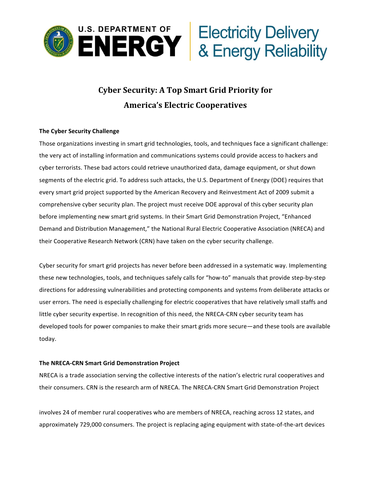

# **Cyber Security: A Top Smart Grid Priority for America's Electric Cooperatives**

# **The Cyber Security Challenge**

Those organizations investing in smart grid technologies, tools, and techniques face a significant challenge: the very act of installing information and communications systems could provide access to hackers and cyber terrorists. These bad actors could retrieve unauthorized data, damage equipment, or shut down segments of the electric grid. To address such attacks, the U.S. Department of Energy (DOE) requires that every smart grid project supported by the American Recovery and Reinvestment Act of 2009 submit a comprehensive cyber security plan. The project must receive DOE approval of this cyber security plan before implementing new smart grid systems. In their Smart Grid Demonstration Project, "Enhanced Demand and Distribution Management," the National Rural Electric Cooperative Association (NRECA) and their Cooperative Research Network (CRN) have taken on the cyber security challenge.

Cyber security for smart grid projects has never before been addressed in a systematic way. Implementing these new technologies, tools, and techniques safely calls for "how-to" manuals that provide step-by-step directions for addressing vulnerabilities and protecting components and systems from deliberate attacks or user errors. The need is especially challenging for electric cooperatives that have relatively small staffs and little cyber security expertise. In recognition of this need, the NRECA-CRN cyber security team has developed tools for power companies to make their smart grids more secure—and these tools are available today.

# **The NRECA-CRN Smart Grid Demonstration Project**

NRECA is a trade association serving the collective interests of the nation's electric rural cooperatives and their consumers. CRN is the research arm of NRECA. The NRECA-CRN Smart Grid Demonstration Project

involves 24 of member rural cooperatives who are members of NRECA, reaching across 12 states, and approximately 729,000 consumers. The project is replacing aging equipment with state-of-the-art devices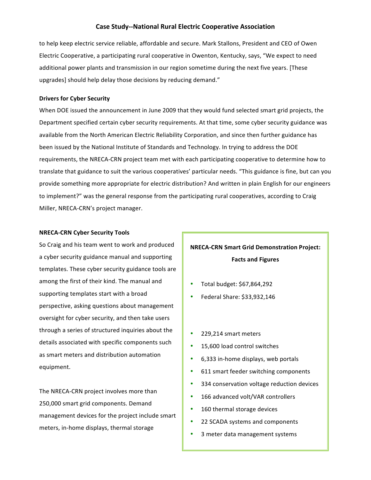# **Case Study--National Rural Electric Cooperative Association**

to help keep electric service reliable, affordable and secure. Mark Stallons, President and CEO of Owen Electric Cooperative, a participating rural cooperative in Owenton, Kentucky, says, "We expect to need additional power plants and transmission in our region sometime during the next five years. [These upgrades] should help delay those decisions by reducing demand."

### **Drivers for Cyber Security**

When DOE issued the announcement in June 2009 that they would fund selected smart grid projects, the Department specified certain cyber security requirements. At that time, some cyber security guidance was available from the North American Electric Reliability Corporation, and since then further guidance has been issued by the National Institute of Standards and Technology. In trying to address the DOE requirements, the NRECA-CRN project team met with each participating cooperative to determine how to translate that guidance to suit the various cooperatives' particular needs. "This guidance is fine, but can you provide something more appropriate for electric distribution? And written in plain English for our engineers to implement?" was the general response from the participating rural cooperatives, according to Craig Miller, NRECA-CRN's project manager.

### **NRECA-CRN Cyber Security Tools**

So Craig and his team went to work and produced a cyber security guidance manual and supporting templates. These cyber security guidance tools are among the first of their kind. The manual and supporting templates start with a broad perspective, asking questions about management oversight for cyber security, and then take users through a series of structured inquiries about the details associated with specific components such as smart meters and distribution automation equipment. 

The NRECA-CRN project involves more than 250,000 smart grid components. Demand management devices for the project include smart meters, in-home displays, thermal storage

# **NRECA-CRN Smart Grid Demonstration Project: Facts and Figures**

- Total budget:  $$67,864,292$
- Federal Share: \$33,932,146
- 229,214 smart meters
- 15,600 load control switches
- 6,333 in-home displays, web portals
- 611 smart feeder switching components
- 334 conservation voltage reduction devices
- 166 advanced volt/VAR controllers
- 160 thermal storage devices
- 22 SCADA systems and components
- 3 meter data management systems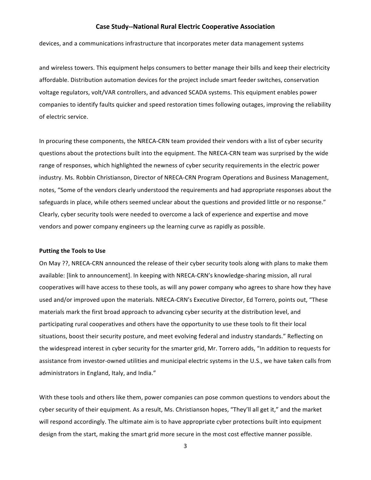# **Case Study--National Rural Electric Cooperative Association**

devices, and a communications infrastructure that incorporates meter data management systems

and wireless towers. This equipment helps consumers to better manage their bills and keep their electricity affordable. Distribution automation devices for the project include smart feeder switches, conservation voltage regulators, volt/VAR controllers, and advanced SCADA systems. This equipment enables power companies to identify faults quicker and speed restoration times following outages, improving the reliability of electric service.

In procuring these components, the NRECA-CRN team provided their vendors with a list of cyber security questions about the protections built into the equipment. The NRECA-CRN team was surprised by the wide range of responses, which highlighted the newness of cyber security requirements in the electric power industry. Ms. Robbin Christianson, Director of NRECA-CRN Program Operations and Business Management, notes, "Some of the vendors clearly understood the requirements and had appropriate responses about the safeguards in place, while others seemed unclear about the questions and provided little or no response." Clearly, cyber security tools were needed to overcome a lack of experience and expertise and move vendors and power company engineers up the learning curve as rapidly as possible.

#### **Putting the Tools to Use**

On May ??, NRECA-CRN announced the release of their cyber security tools along with plans to make them available: [link to announcement]. In keeping with NRECA-CRN's knowledge-sharing mission, all rural cooperatives will have access to these tools, as will any power company who agrees to share how they have used and/or improved upon the materials. NRECA-CRN's Executive Director, Ed Torrero, points out, "These materials mark the first broad approach to advancing cyber security at the distribution level, and participating rural cooperatives and others have the opportunity to use these tools to fit their local situations, boost their security posture, and meet evolving federal and industry standards." Reflecting on the widespread interest in cyber security for the smarter grid, Mr. Torrero adds, "In addition to requests for assistance from investor-owned utilities and municipal electric systems in the U.S., we have taken calls from administrators in England, Italy, and India."

With these tools and others like them, power companies can pose common questions to vendors about the cyber security of their equipment. As a result, Ms. Christianson hopes, "They'll all get it," and the market will respond accordingly. The ultimate aim is to have appropriate cyber protections built into equipment design from the start, making the smart grid more secure in the most cost effective manner possible.

3